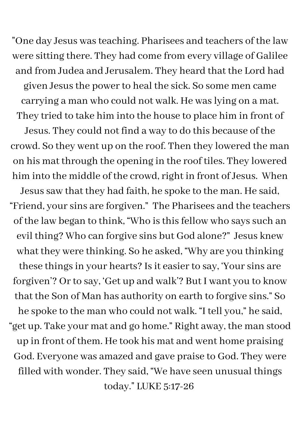"One day Jesus was teaching. Pharisees and teachers of the law were sitting there. They had come from every village of Galilee and from Judea and Jerusalem. They heard that the Lord had given Jesus the power to heal the sick. So some men came carrying a man who could not walk. He was lying on a mat. They tried to take him into the house to place him in front of Jesus. They could not find a way to do this because of the crowd. So they went up on the roof. Then they lowered the man on his mat through the opening in the roof tiles. They lowered him into the middle of the crowd, right in front of Jesus. When Jesus saw that they had faith, he spoke to the man. He said, "Friend, your sins are forgiven." The Pharisees and the teachers of the law began to think, "Who is this fellow who says such an evil thing? Who can forgive sins but God alone?" Jesus knew what they were thinking. So he asked, "Why are you thinking these things in your hearts? Is it easier to say, 'Your sins are forgiven'? Or to say, 'Get up and walk'? But I want you to know that the Son of Man has authority on earth to forgive sins." So he spoke to the man who could not walk. "I tell you," he said, "get up. Take your mat and go home." Right away, the man stood up in front of them. He took his mat and went home praising God. Everyone was amazed and gave praise to God. They were filled with wonder. They said, "We have seen unusual things today." LUKE 5:17-26